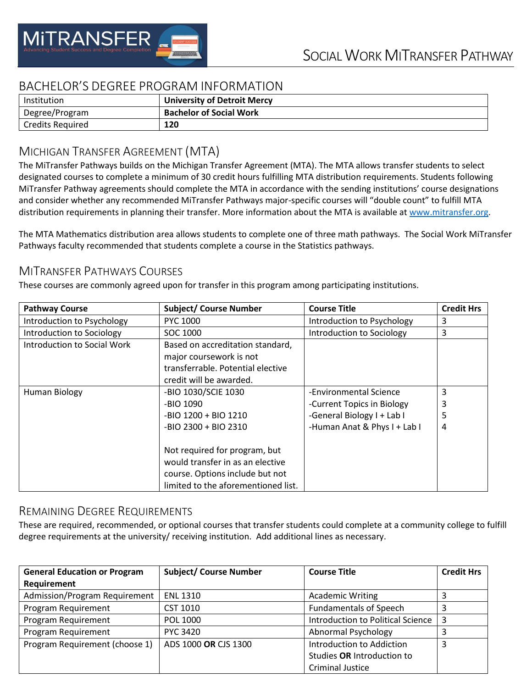

## BACHELOR'S DEGREE PROGRAM INFORMATION

| Institution             | <b>University of Detroit Mercy</b> |
|-------------------------|------------------------------------|
| Degree/Program          | <b>Bachelor of Social Work</b>     |
| <b>Credits Required</b> | 120                                |

# MICHIGAN TRANSFER AGREEMENT (MTA)

The MiTransfer Pathways builds on the Michigan Transfer Agreement (MTA). The MTA allows transfer students to select designated courses to complete a minimum of 30 credit hours fulfilling MTA distribution requirements. Students following MiTransfer Pathway agreements should complete the MTA in accordance with the sending institutions' course designations and consider whether any recommended MiTransfer Pathways major-specific courses will "double count" to fulfill MTA distribution requirements in planning their transfer. More information about the MTA is available at [www.mitransfer.org.](http://www.mitransfer.org/)

The MTA Mathematics distribution area allows students to complete one of three math pathways. The Social Work MiTransfer Pathways faculty recommended that students complete a course in the Statistics pathways.

### MITRANSFER PATHWAYS COURSES

These courses are commonly agreed upon for transfer in this program among participating institutions.

| <b>Pathway Course</b>              | <b>Subject/ Course Number</b>       | <b>Course Title</b>          | <b>Credit Hrs</b> |
|------------------------------------|-------------------------------------|------------------------------|-------------------|
| Introduction to Psychology         | <b>PYC 1000</b>                     | Introduction to Psychology   | 3                 |
| Introduction to Sociology          | SOC 1000                            | Introduction to Sociology    | 3                 |
| <b>Introduction to Social Work</b> | Based on accreditation standard,    |                              |                   |
|                                    | major coursework is not             |                              |                   |
|                                    | transferrable. Potential elective   |                              |                   |
|                                    | credit will be awarded.             |                              |                   |
| Human Biology                      | -BIO 1030/SCIE 1030                 | -Environmental Science       | 3                 |
|                                    | -BIO 1090                           | -Current Topics in Biology   | 3                 |
|                                    | -BIO 1200 + BIO 1210                | -General Biology I + Lab I   | 5                 |
|                                    | $-BIO$ 2300 + BIO 2310              | -Human Anat & Phys I + Lab I | 4                 |
|                                    |                                     |                              |                   |
|                                    | Not required for program, but       |                              |                   |
|                                    | would transfer in as an elective    |                              |                   |
|                                    | course. Options include but not     |                              |                   |
|                                    | limited to the aforementioned list. |                              |                   |

#### REMAINING DEGREE REQUIREMENTS

These are required, recommended, or optional courses that transfer students could complete at a community college to fulfill degree requirements at the university/ receiving institution. Add additional lines as necessary.

| <b>General Education or Program</b> | <b>Subject/ Course Number</b> | <b>Course Title</b>               | <b>Credit Hrs</b> |
|-------------------------------------|-------------------------------|-----------------------------------|-------------------|
| Requirement                         |                               |                                   |                   |
| Admission/Program Requirement       | <b>ENL 1310</b>               | <b>Academic Writing</b>           |                   |
| Program Requirement                 | CST 1010                      | <b>Fundamentals of Speech</b>     |                   |
| Program Requirement                 | POL 1000                      | Introduction to Political Science | 3                 |
| Program Requirement                 | <b>PYC 3420</b>               | Abnormal Psychology               |                   |
| Program Requirement (choose 1)      | ADS 1000 OR CJS 1300          | Introduction to Addiction         | 3                 |
|                                     |                               | Studies OR Introduction to        |                   |
|                                     |                               | <b>Criminal Justice</b>           |                   |